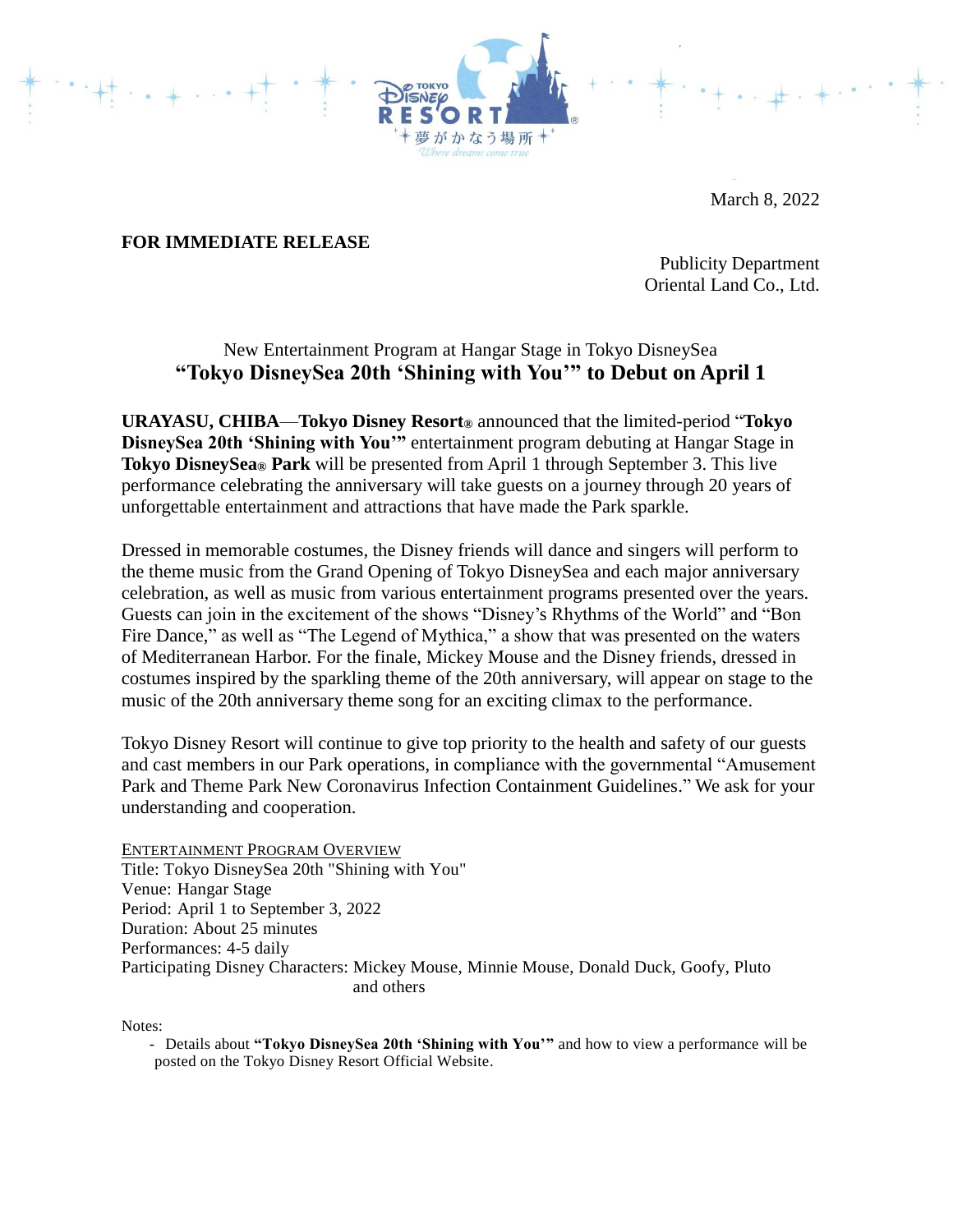

March 8, 2022

## **FOR IMMEDIATE RELEASE**

Publicity Department Oriental Land Co., Ltd.

## New Entertainment Program at Hangar Stage in Tokyo DisneySea **"Tokyo DisneySea 20th 'Shining with You'" to Debut on April 1**

**URAYASU, CHIBA**—**Tokyo Disney Resort®** announced that the limited-period "**Tokyo DisneySea 20th 'Shining with You'"** entertainment program debuting at Hangar Stage in **Tokyo DisneySea® Park** will be presented from April 1 through September 3. This live performance celebrating the anniversary will take guests on a journey through 20 years of unforgettable entertainment and attractions that have made the Park sparkle.

Dressed in memorable costumes, the Disney friends will dance and singers will perform to the theme music from the Grand Opening of Tokyo DisneySea and each major anniversary celebration, as well as music from various entertainment programs presented over the years. Guests can join in the excitement of the shows "Disney's Rhythms of the World" and "Bon Fire Dance," as well as "The Legend of Mythica," a show that was presented on the waters of Mediterranean Harbor. For the finale, Mickey Mouse and the Disney friends, dressed in costumes inspired by the sparkling theme of the 20th anniversary, will appear on stage to the music of the 20th anniversary theme song for an exciting climax to the performance.

Tokyo Disney Resort will continue to give top priority to the health and safety of our guests and cast members in our Park operations, in compliance with the governmental "Amusement Park and Theme Park New Coronavirus Infection Containment Guidelines." We ask for your understanding and cooperation.

ENTERTAINMENT PROGRAM OVERVIEW Title: Tokyo DisneySea 20th "Shining with You" Venue: Hangar Stage Period: April 1 to September 3, 2022 Duration: About 25 minutes Performances: 4-5 daily Participating Disney Characters: Mickey Mouse, Minnie Mouse, Donald Duck, Goofy, Pluto and others

Notes:

- Details about **"Tokyo DisneySea 20th 'Shining with You'"** and how to view a performance will be posted on the Tokyo Disney Resort Official Website.